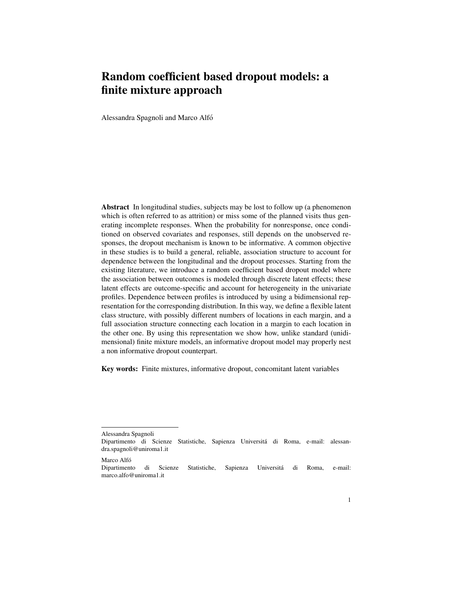# Random coefficient based dropout models: a finite mixture approach

Alessandra Spagnoli and Marco Alfo´

Abstract In longitudinal studies, subjects may be lost to follow up (a phenomenon which is often referred to as attrition) or miss some of the planned visits thus generating incomplete responses. When the probability for nonresponse, once conditioned on observed covariates and responses, still depends on the unobserved responses, the dropout mechanism is known to be informative. A common objective in these studies is to build a general, reliable, association structure to account for dependence between the longitudinal and the dropout processes. Starting from the existing literature, we introduce a random coefficient based dropout model where the association between outcomes is modeled through discrete latent effects; these latent effects are outcome-specific and account for heterogeneity in the univariate profiles. Dependence between profiles is introduced by using a bidimensional representation for the corresponding distribution. In this way, we define a flexible latent class structure, with possibly different numbers of locations in each margin, and a full association structure connecting each location in a margin to each location in the other one. By using this representation we show how, unlike standard (unidimensional) finite mixture models, an informative dropout model may properly nest a non informative dropout counterpart.

Key words: Finite mixtures, informative dropout, concomitant latent variables

Marco Alfó

Alessandra Spagnoli

Dipartimento di Scienze Statistiche, Sapienza Universita di Roma, e-mail: alessan- ´ dra.spagnoli@uniroma1.it

Dipartimento di Scienze Statistiche, Sapienza Universita di Roma, e-mail: ´ marco.alfo@uniroma1.it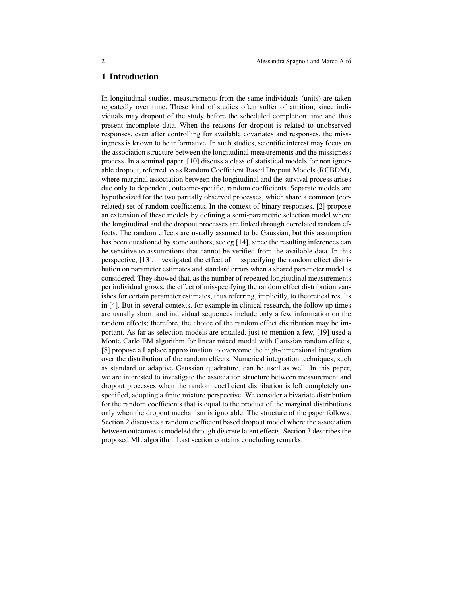## 1 Introduction

In longitudinal studies, measurements from the same individuals (units) are taken repeatedly over time. These kind of studies often suffer of attrition, since individuals may dropout of the study before the scheduled completion time and thus present incomplete data. When the reasons for dropout is related to unobserved responses, even after controlling for available covariates and responses, the missingness is known to be informative. In such studies, scientific interest may focus on the association structure between the longitudinal measurements and the missigness process. In a seminal paper, [10] discuss a class of statistical models for non ignorable dropout, referred to as Random Coefficient Based Dropout Models (RCBDM), where marginal association between the longitudinal and the survival process arises due only to dependent, outcome-specific, random coefficients. Separate models are hypothesized for the two partially observed processes, which share a common (correlated) set of random coefficients. In the context of binary responses, [2] propose an extension of these models by defining a semi-parametric selection model where the longitudinal and the dropout processes are linked through correlated random effects. The random effects are usually assumed to be Gaussian, but this assumption has been questioned by some authors, see eg [14], since the resulting inferences can be sensitive to assumptions that cannot be verified from the available data. In this perspective, [13], investigated the effect of misspecifying the random effect distribution on parameter estimates and standard errors when a shared parameter model is considered. They showed that, as the number of repeated longitudinal measurements per individual grows, the effect of misspecifying the random effect distribution vanishes for certain parameter estimates, thus referring, implicitly, to theoretical results in [4]. But in several contexts, for example in clinical research, the follow up times are usually short, and individual sequences include only a few information on the random effects; therefore, the choice of the random effect distribution may be important. As far as selection models are entailed, just to mention a few, [19] used a Monte Carlo EM algorithm for linear mixed model with Gaussian random effects, [8] propose a Laplace approximation to overcome the high-dimensional integration over the distribution of the random effects. Numerical integration techniques, such as standard or adaptive Gaussian quadrature, can be used as well. In this paper, we are interested to investigate the association structure between measurement and dropout processes when the random coefficient distribution is left completely unspecified, adopting a finite mixture perspective. We consider a bivariate distribution for the random coefficients that is equal to the product of the marginal distributions only when the dropout mechanism is ignorable. The structure of the paper follows. Section 2 discusses a random coefficient based dropout model where the association between outcomes is modeled through discrete latent effects. Section 3 describes the proposed ML algorithm. Last section contains concluding remarks.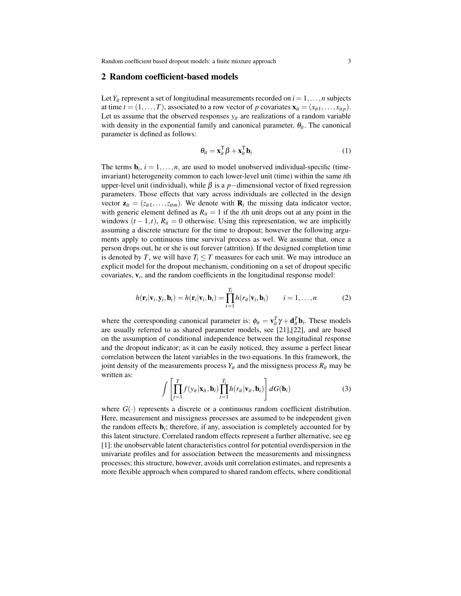#### 2 Random coefficient-based models

Let  $Y_i$  represent a set of longitudinal measurements recorded on  $i = 1, \ldots, n$  subjects at time  $t = (1, \ldots, T)$ , associated to a row vector of p covariates  $\mathbf{x}_{it} = (x_{it1}, \ldots, x_{itp})$ . Let us assume that the observed responses  $y_{it}$  are realizations of a random variable with density in the exponential family and canonical parameter,  $\theta_{it}$ . The canonical parameter is defined as follows:

$$
\theta_{it} = \mathbf{x}_{it}^{\mathsf{T}} \boldsymbol{\beta} + \mathbf{x}_{it}^{\mathsf{T}} \mathbf{b}_{i}
$$
 (1)

The terms  $\mathbf{b}_i$ ,  $i = 1, \ldots, n$ , are used to model unobserved individual-specific (timeinvariant) heterogeneity common to each lower-level unit (time) within the same *i*th upper-level unit (individual), while  $\beta$  is a *p*−dimensional vector of fixed regression parameters. Those effects that vary across individuals are collected in the design vector  $\mathbf{z}_{it} = (z_{it1},...,z_{itm})$ . We denote with  $\mathbf{R}_i$  the missing data indicator vector, with generic element defined as  $R_{it} = 1$  if the *i*th unit drops out at any point in the windows  $(t-1,t)$ ,  $R_{it} = 0$  otherwise. Using this representation, we are implicitly assuming a discrete structure for the time to dropout; however the following arguments apply to continuous time survival process as wel. We assume that, once a person drops out, he or she is out forever (attrition). If the designed completion time is denoted by *T*, we will have  $T_i \leq T$  measures for each unit. We may introduce an explicit model for the dropout mechanism, conditioning on a set of dropout specific  $covariates,  $v_i$ , and the random coefficients in the longitudinal response model:$ 

$$
h(\mathbf{r}_i|\mathbf{v}_i,\mathbf{y}_i,\mathbf{b}_i)=h(\mathbf{r}_i|\mathbf{v}_i,\mathbf{b}_i)=\prod_{t=1}^{T_i}h(r_{it}|\mathbf{v}_i,\mathbf{b}_i) \qquad i=1,\ldots,n
$$
 (2)

where the corresponding canonical parameter is:  $\phi_{it} = \mathbf{v}_{it}^T \boldsymbol{\gamma} + \mathbf{d}_{it}^T \mathbf{b}_i$ . These models are usually referred to as shared parameter models, see [21],[22], and are based on the assumption of conditional independence between the longitudinal response and the dropout indicator; as it can be easily noticed, they assume a perfect linear correlation between the latent variables in the two equations. In this framework, the joint density of the measurements process  $Y_{it}$  and the missigness process  $R_{it}$  may be written as:

$$
\int \left[ \prod_{t=1}^{T} f(y_{it} | \mathbf{x}_{it}, \mathbf{b}_{i}) \prod_{t=1}^{T_{i}} h(r_{it} | \mathbf{v}_{it}, \mathbf{b}_{i}) \right] dG(\mathbf{b}_{i}) \tag{3}
$$

where  $G(\cdot)$  represents a discrete or a continuous random coefficient distribution. Here, measurement and missigness processes are assumed to be independent given the random effects  $\mathbf{b}_i$ ; therefore, if any, association is completely accounted for by this latent structure. Correlated random effects represent a further alternative, see eg [1]: the unobservable latent characteristics control for potential overdispersion in the univariate profiles and for association between the measurements and missingness processes; this structure, however, avoids unit correlation estimates, and represents a more flexible approach when compared to shared random effects, where conditional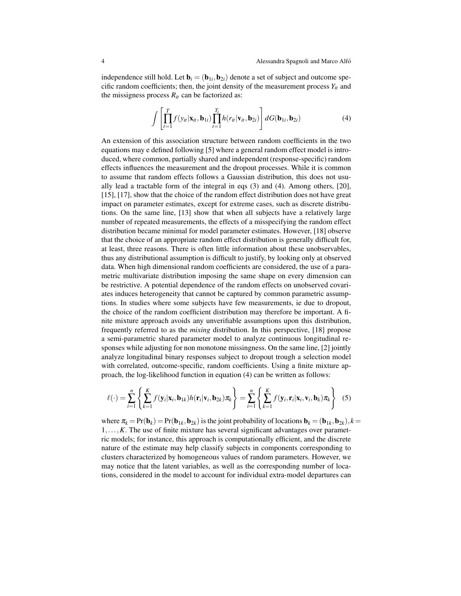independence still hold. Let  $\mathbf{b}_i = (\mathbf{b}_{1i}, \mathbf{b}_{2i})$  denote a set of subject and outcome specific random coefficients; then, the joint density of the measurement process  $Y_{it}$  and the missigness process  $R_{it}$  can be factorized as:

$$
\int \left[ \prod_{t=1}^T f(y_{it} | \mathbf{x}_{it}, \mathbf{b}_{1i}) \prod_{t=1}^{T_i} h(r_{it} | \mathbf{v}_{it}, \mathbf{b}_{2i}) \right] dG(\mathbf{b}_{1i}, \mathbf{b}_{2i}) \tag{4}
$$

An extension of this association structure between random coefficients in the two equations may e defined following [5] where a general random effect model is introduced, where common, partially shared and independent (response-specific) random effects influences the measurement and the dropout processes. While it is common to assume that random effects follows a Gaussian distribution, this does not usually lead a tractable form of the integral in eqs (3) and (4). Among others, [20], [15], [17], show that the choice of the random effect distribution does not have great impact on parameter estimates, except for extreme cases, such as discrete distributions. On the same line, [13] show that when all subjects have a relatively large number of repeated measurements, the effects of a misspecifying the random effect distribution became minimal for model parameter estimates. However, [18] observe that the choice of an appropriate random effect distribution is generally difficult for, at least, three reasons. There is often little information about these unobservables, thus any distributional assumption is difficult to justify, by looking only at observed data. When high dimensional random coefficients are considered, the use of a parametric multivariate distribution imposing the same shape on every dimension can be restrictive. A potential dependence of the random effects on unobserved covariates induces heterogeneity that cannot be captured by common parametric assumptions. In studies where some subjects have few measurements, ie due to dropout, the choice of the random coefficient distribution may therefore be important. A finite mixture approach avoids any unverifiable assumptions upon this distribution, frequently referred to as the *mixing* distribution. In this perspective, [18] propose a semi-parametric shared parameter model to analyze continuous longitudinal responses while adjusting for non monotone missingness. On the same line, [2] jointly analyze longitudinal binary responses subject to dropout trough a selection model with correlated, outcome-specific, random coefficients. Using a finite mixture approach, the log-likelihood function in equation (4) can be written as follows:

$$
\ell(\cdot) = \sum_{i=1}^{n} \left\{ \sum_{k=1}^{K} f(\mathbf{y}_i | \mathbf{x}_i, \mathbf{b}_{1k}) h(\mathbf{r}_i | \mathbf{v}_i, \mathbf{b}_{2k}) \pi_k \right\} = \sum_{i=1}^{n} \left\{ \sum_{k=1}^{K} f(\mathbf{y}_i, \mathbf{r}_i | \mathbf{x}_i, \mathbf{v}_i, \mathbf{b}_k) \pi_k \right\}
$$
(5)

where  $\pi_k = \Pr(\mathbf{b}_k) = \Pr(\mathbf{b}_{1k}, \mathbf{b}_{2k})$  is the joint probability of locations  $\mathbf{b}_k = (\mathbf{b}_{1k}, \mathbf{b}_{2k}), k =$ 1,...,*K*. The use of finite mixture has several significant advantages over parametric models; for instance, this approach is computationally efficient, and the discrete nature of the estimate may help classify subjects in components corresponding to clusters characterized by homogeneous values of random parameters. However, we may notice that the latent variables, as well as the corresponding number of locations, considered in the model to account for individual extra-model departures can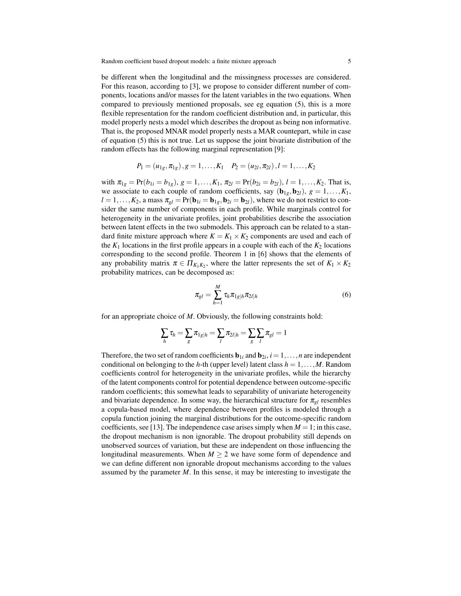be different when the longitudinal and the missingness processes are considered. For this reason, according to [3], we propose to consider different number of components, locations and/or masses for the latent variables in the two equations. When compared to previously mentioned proposals, see eg equation (5), this is a more flexible representation for the random coefficient distribution and, in particular, this model properly nests a model which describes the dropout as being non informative. That is, the proposed MNAR model properly nests a MAR countepart, while in case of equation (5) this is not true. Let us suppose the joint bivariate distribution of the random effects has the following marginal representation [9]:

$$
P_1 = (u_{1g}, \pi_{1g}), g = 1, \ldots, K_1
$$
  $P_2 = (u_{2l}, \pi_{2l}), l = 1, \ldots, K_2$ 

with  $\pi_{1g} = Pr(b_{1i} = b_{1g}), g = 1, \ldots, K_1, \pi_{2l} = Pr(b_{2i} = b_{2l}), l = 1, \ldots, K_2$ . That is, we associate to each couple of random coefficients, say  $(b_{1g}, b_{2l})$ ,  $g = 1, \ldots, K_1$ ,  $l = 1, \ldots, K_2$ , a mass  $\pi_{gl} = Pr(\mathbf{b}_{1i} = \mathbf{b}_{1g}, \mathbf{b}_{2i} = \mathbf{b}_{2l})$ , where we do not restrict to consider the same number of components in each profile. While marginals control for heterogeneity in the univariate profiles, joint probabilities describe the association between latent effects in the two submodels. This approach can be related to a standard finite mixture approach where  $K = K_1 \times K_2$  components are used and each of the  $K_1$  locations in the first profile appears in a couple with each of the  $K_2$  locations corresponding to the second profile. Theorem 1 in [6] shows that the elements of any probability matrix  $\pi \in \Pi_{K_1K_2}$ , where the latter represents the set of  $K_1 \times K_2$ probability matrices, can be decomposed as:

$$
\pi_{gl} = \sum_{h=1}^{M} \tau_h \pi_{1g|h} \pi_{2l|h} \tag{6}
$$

for an appropriate choice of *M*. Obviously, the following constraints hold:

$$
\sum_h \tau_h = \sum_g \pi_{1g|h} = \sum_l \pi_{2l|h} = \sum_g \sum_l \pi_{gl} = 1
$$

Therefore, the two set of random coefficients  $\mathbf{b}_{1i}$  and  $\mathbf{b}_{2i}$ ,  $i = 1, \ldots, n$  are independent conditional on belonging to the *h*-th (upper level) latent class  $h = 1, \ldots, M$ . Random coefficients control for heterogeneity in the univariate profiles, while the hierarchy of the latent components control for potential dependence between outcome-specific random coefficients; this somewhat leads to separability of univariate heterogeneity and bivariate dependence. In some way, the hierarchical structure for  $\pi_{gl}$  resembles a copula-based model, where dependence between profiles is modeled through a copula function joining the marginal distributions for the outcome-specific random coefficients, see [13]. The independence case arises simply when  $M = 1$ ; in this case, the dropout mechanism is non ignorable. The dropout probability still depends on unobserved sources of variation, but these are independent on those influencing the longitudinal measurements. When  $M \geq 2$  we have some form of dependence and we can define different non ignorable dropout mechanisms according to the values assumed by the parameter *M*. In this sense, it may be interesting to investigate the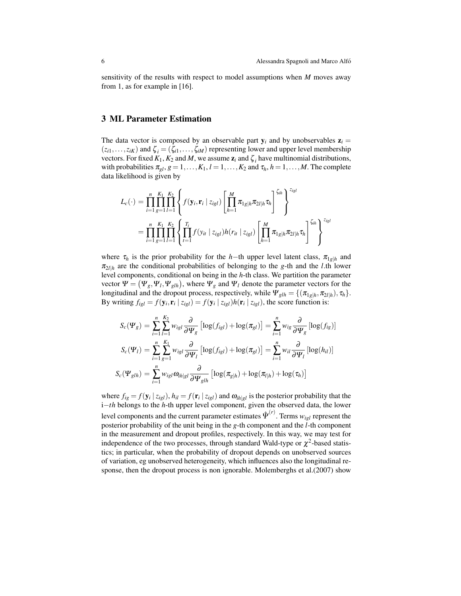sensitivity of the results with respect to model assumptions when *M* moves away from 1, as for example in [16].

## 3 ML Parameter Estimation

The data vector is composed by an observable part  $y_i$  and by unobservables  $z_i =$  $(z_{i1},...,z_{iK})$  and  $\zeta_i = (\zeta_{i1},...,\zeta_{iM})$  representing lower and upper level membership vectors. For fixed  $K_1$ ,  $K_2$  and  $M$ , we assume  $\mathbf{z}_i$  and  $\zeta_i$  have multinomial distributions, with probabilities  $\pi_{gl}, g = 1, \ldots, K_1, l = 1, \ldots, K_2$  and  $\tau_h, h = 1, \ldots, M$ . The complete data likelihood is given by

$$
L_{c}(\cdot) = \prod_{i=1}^{n} \prod_{g=1}^{K_{1}} \prod_{l=1}^{K_{2}} \left\{ f(\mathbf{y}_{i}, \mathbf{r}_{i} | z_{igl}) \left[ \prod_{h=1}^{M} \pi_{1g|h} \pi_{2l|h} \tau_{h} \right]^{ \zeta_{ih}} \right\}^{z_{igl}}
$$
  
= 
$$
\prod_{i=1}^{n} \prod_{g=1}^{K_{1}} \prod_{l=1}^{K_{2}} \left\{ \prod_{t=1}^{T_{i}} f(y_{it} | z_{igl}) h(r_{it} | z_{igl}) \left[ \prod_{h=1}^{M} \pi_{1g|h} \pi_{2l|h} \tau_{h} \right]^{ \zeta_{ih}} \right\}^{z_{igl}}
$$

where  $\tau_h$  is the prior probability for the *h*−th upper level latent class,  $\pi_{1}$ <sub>*g*|*h*</sub> and  $\pi_{2*l*|<sub>h</sub>}$  are the conditional probabilities of belonging to the *g*-th and the *l*.th lower level components, conditional on being in the *h*-th class. We partition the parameter vector  $\Psi = (\Psi_g, \Psi_l, \Psi_{glh})$ , where  $\Psi_g$  and  $\Psi_l$  denote the parameter vectors for the longitudinal and the dropout process, respectively, while  $\Psi_{glh} = \{(\pi_{1g|h}, \pi_{2l|h}), \tau_h\}.$ By writing  $f_{igl} = f(\mathbf{y}_i, \mathbf{r}_i | z_{igl}) = f(\mathbf{y}_i | z_{igl}) h(\mathbf{r}_i | z_{igl})$ , the score function is:

$$
S_c(\Psi_g) = \sum_{i=1}^n \sum_{l=1}^{K_2} w_{igl} \frac{\partial}{\partial \Psi_g} \left[ \log(f_{igl}) + \log(\pi_{gl}) \right] = \sum_{i=1}^n w_{ig} \frac{\partial}{\partial \Psi_g} \left[ \log(f_{ig}) \right]
$$
  

$$
S_c(\Psi_l) = \sum_{i=1}^n \sum_{g=1}^{K_1} w_{igl} \frac{\partial}{\partial \Psi_l} \left[ \log(f_{igl}) + \log(\pi_{gl}) \right] = \sum_{i=1}^n w_{il} \frac{\partial}{\partial \Psi_l} \left[ \log(h_{il}) \right]
$$
  

$$
S_c(\Psi_{glh}) = \sum_{i=1}^n w_{igl} \omega_{ih|gl} \frac{\partial}{\partial \Psi_{glh}} \left[ \log(\pi_{glh}) + \log(\pi_{l|h}) + \log(\tau_h) \right]
$$

where  $f_{ig} = f(\mathbf{y}_i | z_{igl})$ ,  $h_{il} = f(\mathbf{r}_i | z_{igl})$  and  $\omega_{ih|gl}$  is the posterior probability that the i−*th* belongs to the *h*-th upper level component, given the observed data, the lower level components and the current parameter estimates  $\hat{\Psi}^{(r)}$  . Terms  $w_{igl}$  represent the posterior probability of the unit being in the *g*-th component and the *l*-th component in the measurement and dropout profiles, respectively. In this way, we may test for independence of the two processes, through standard Wald-type or  $\chi^2$ -based statistics; in particular, when the probability of dropout depends on unobserved sources of variation, eg unobserved heterogeneity, which influences also the longitudinal response, then the dropout process is non ignorable. Molemberghs et al.(2007) show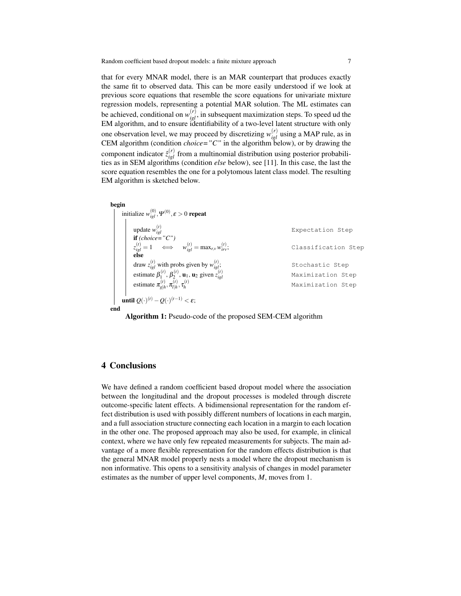that for every MNAR model, there is an MAR counterpart that produces exactly the same fit to observed data. This can be more easily understood if we look at previous score equations that resemble the score equations for univariate mixture regression models, representing a potential MAR solution. The ML estimates can be achieved, conditional on  $w_{igl}^{(r)}$ , in subsequent maximization steps. To speed ud the EM algorithm, and to ensure identifiability of a two-level latent structure with only one observation level, we may proceed by discretizing  $w_{igl}^{(r)}$  using a MAP rule, as in CEM algorithm (condition *choice="C"* in the algorithm below), or by drawing the component indicator  $\hat{z}_{igl}^{(r)}$  from a multinomial distribution using posterior probabilities as in SEM algorithms (condition *else* below), see [11]. In this case, the last the score equation resembles the one for a polytomous latent class model. The resulting EM algorithm is sketched below.

| begin                                                                                              |                     |
|----------------------------------------------------------------------------------------------------|---------------------|
| initialize $w_{i_{ol}}^{(0)}, \Psi^{(0)}, \varepsilon > 0$ repeat                                  |                     |
|                                                                                                    |                     |
| update $w_{igl}^{(t)}$                                                                             | Expectation Step    |
| if $(choice="C"')$                                                                                 |                     |
| $z_{iel}^{(t)} = 1 \quad \iff \quad w_{iel}^{(t)} = \max_{r,v} w_{irv}^{(t)};$                     | Classification Step |
| else                                                                                               |                     |
| draw $z_{i\varrho l}^{(t)}$ with probs given by $w_{i\varrho l}^{(t)}$ ;                           | Stochastic Step     |
| estimate $\beta_1^{(t)}$ , $\beta_2^{(t)}$ , $\mathbf{u}_1$ , $\mathbf{u}_2$ given $z_{icl}^{(t)}$ | Maximization Step   |
| estimate $\pi_{\rho h}^{(t)}, \pi_{l h}^{(t)}, \tau_h^{(t)}$                                       | Maximization Step   |
| until $O(\cdot)^{(t)} - O(\cdot)^{(t-1)} < \varepsilon$ ;                                          |                     |
| end                                                                                                |                     |

Algorithm 1: Pseudo-code of the proposed SEM-CEM algorithm

#### 4 Conclusions

We have defined a random coefficient based dropout model where the association between the longitudinal and the dropout processes is modeled through discrete outcome-specific latent effects. A bidimensional representation for the random effect distribution is used with possibly different numbers of locations in each margin, and a full association structure connecting each location in a margin to each location in the other one. The proposed approach may also be used, for example, in clinical context, where we have only few repeated measurements for subjects. The main advantage of a more flexible representation for the random effects distribution is that the general MNAR model properly nests a model where the dropout mechanism is non informative. This opens to a sensitivity analysis of changes in model parameter estimates as the number of upper level components, *M*, moves from 1.